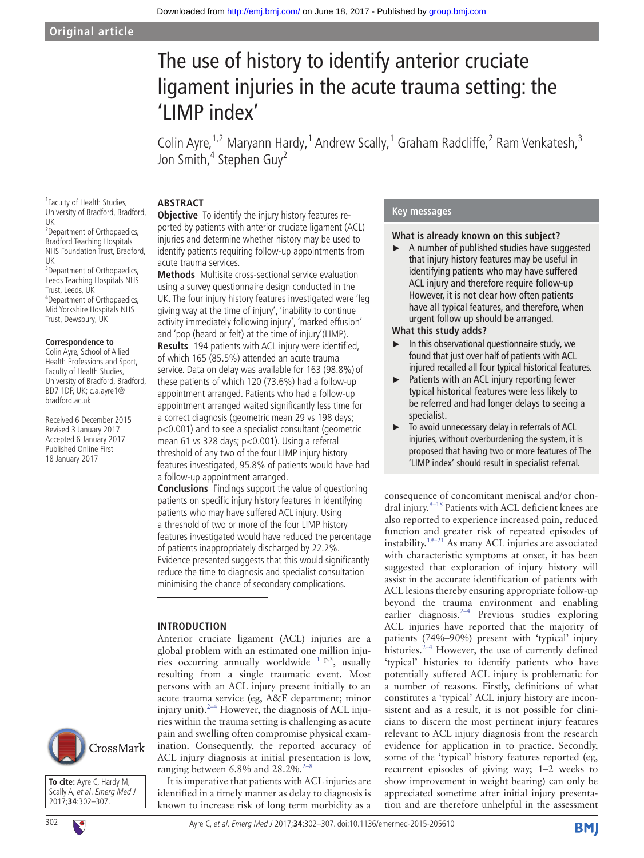# The use of history to identify anterior cruciate ligament injuries in the acute trauma setting: the 'LIMP index'

Colin Ayre,<sup>1,2</sup> Maryann Hardy,<sup>1</sup> Andrew Scally,<sup>1</sup> Graham Radcliffe,<sup>2</sup> Ram Venkatesh,<sup>3</sup> Jon Smith,<sup>4</sup> Stephen Guy<sup>2</sup>

<sup>1</sup> Faculty of Health Studies, University of Bradford, Bradford, UK

<sup>2</sup> Department of Orthopaedics, Bradford Teaching Hospitals NHS Foundation Trust, Bradford, UK

<sup>3</sup>Department of Orthopaedics, Leeds Teaching Hospitals NHS Trust, Leeds, LIK 4 Department of Orthopaedics, Mid Yorkshire Hospitals NHS Trust, Dewsbury, UK

#### **Correspondence to**

Colin Ayre, School of Allied Health Professions and Sport, Faculty of Health Studies, University of Bradford, Bradford, BD7 1DP, UK; c.a.ayre1@ bradford.ac.uk

Received 6 December 2015 Revised 3 January 2017 Accepted 6 January 2017 Published Online First 18 January 2017



**To cite:** Ayre C, Hardy M, Scally A, et al. Emerg Med J 2017;**34**:302–307.



# **ABSTRACT**

**Objective** To identify the injury history features reported by patients with anterior cruciate ligament (ACL) injuries and determine whether history may be used to identify patients requiring follow-up appointments from acute trauma services.

**Methods** Multisite cross-sectional service evaluation using a survey questionnaire design conducted in the UK. The four injury history features investigated were 'leg giving way at the time of injury', 'inability to continue activity immediately following injury', 'marked effusion' and 'pop (heard or felt) at the time of injury'(LIMP). **Results** 194 patients with ACL injury were identified, of which 165 (85.5%) attended an acute trauma service. Data on delay was available for 163 (98.8%) of these patients of which 120 (73.6%) had a follow-up appointment arranged. Patients who had a follow-up appointment arranged waited significantly less time for a correct diagnosis (geometric mean 29 vs 198 days; p<0.001) and to see a specialist consultant (geometric mean 61 vs 328 days; p<0.001). Using a referral threshold of any two of the four LIMP injury history features investigated, 95.8% of patients would have had a follow-up appointment arranged.

**Conclusions** Findings support the value of questioning patients on specific injury history features in identifying patients who may have suffered ACL injury. Using a threshold of two or more of the four LIMP history features investigated would have reduced the percentage of patients inappropriately discharged by 22.2%. Evidence presented suggests that this would significantly reduce the time to diagnosis and specialist consultation minimising the chance of secondary complications.

#### **Introduction**

Anterior cruciate ligament (ACL) injuries are a global problem with an estimated one million injuries occurring annually worldwide  $1 p.3$  $1 p.3$ , usually resulting from a single traumatic event. Most persons with an ACL injury present initially to an acute trauma service (eg, A&E department; minor injury unit). $2-4$  However, the diagnosis of ACL injuries within the trauma setting is challenging as acute pain and swelling often compromise physical examination. Consequently, the reported accuracy of ACL injury diagnosis at initial presentation is low, ranging between 6.8% and  $28.2\%$ <sup>[2–8](#page-4-1)</sup>

It is imperative that patients with ACL injuries are identified in a timely manner as delay to diagnosis is known to increase risk of long term morbidity as a

# **Key messages**

#### **What is already known on this subject?**

► A number of published studies have suggested that injury history features may be useful in identifying patients who may have suffered ACL injury and therefore require follow-up However, it is not clear how often patients have all typical features, and therefore, when urgent follow up should be arranged.

#### **What this study adds?**

- In this observational questionnaire study, we found that just over half of patients with ACL injured recalled all four typical historical features.
- Patients with an ACL injury reporting fewer typical historical features were less likely to be referred and had longer delays to seeing a specialist.
- ► To avoid unnecessary delay in referrals of ACL injuries, without overburdening the system, it is proposed that having two or more features of The 'LIMP index' should result in specialist referral.

consequence of concomitant meniscal and/or chondral injury.<sup>9-18</sup> Patients with ACL deficient knees are also reported to experience increased pain, reduced function and greater risk of repeated episodes of instability.<sup>[19–21](#page-5-1)</sup> As many ACL injuries are associated with characteristic symptoms at onset, it has been suggested that exploration of injury history will assist in the accurate identification of patients with ACL lesions thereby ensuring appropriate follow-up beyond the trauma environment and enabling earlier diagnosis.<sup>[2–4](#page-4-1)</sup> Previous studies exploring ACL injuries have reported that the majority of patients (74%–90%) present with 'typical' injury histories. $2-4$  However, the use of currently defined 'typical' histories to identify patients who have potentially suffered ACL injury is problematic for a number of reasons. Firstly, definitions of what constitutes a 'typical' ACL injury history are inconsistent and as a result, it is not possible for clinicians to discern the most pertinent injury features relevant to ACL injury diagnosis from the research evidence for application in to practice. Secondly, some of the 'typical' history features reported (eg, recurrent episodes of giving way; 1–2 weeks to show improvement in weight bearing) can only be appreciated sometime after initial injury presentation and are therefore unhelpful in the assessment

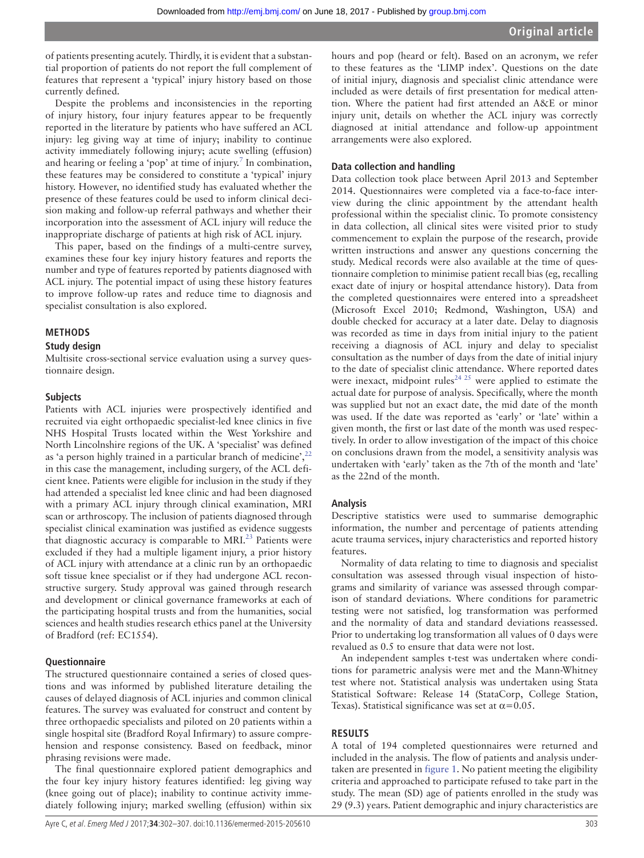of patients presenting acutely. Thirdly, it is evident that a substantial proportion of patients do not report the full complement of features that represent a 'typical' injury history based on those currently defined.

Despite the problems and inconsistencies in the reporting of injury history, four injury features appear to be frequently reported in the literature by patients who have suffered an ACL injury: leg giving way at time of injury; inability to continue activity immediately following injury; acute swelling (effusion) and hearing or feeling a 'pop' at time of injury.<sup>[7](#page-5-2)</sup> In combination, these features may be considered to constitute a 'typical' injury history. However, no identified study has evaluated whether the presence of these features could be used to inform clinical decision making and follow-up referral pathways and whether their incorporation into the assessment of ACL injury will reduce the inappropriate discharge of patients at high risk of ACL injury.

This paper, based on the findings of a multi-centre survey, examines these four key injury history features and reports the number and type of features reported by patients diagnosed with ACL injury. The potential impact of using these history features to improve follow-up rates and reduce time to diagnosis and specialist consultation is also explored.

#### **Methods**

#### **Study design**

Multisite cross-sectional service evaluation using a survey questionnaire design.

#### **Subjects**

Patients with ACL injuries were prospectively identified and recruited via eight orthopaedic specialist-led knee clinics in five NHS Hospital Trusts located within the West Yorkshire and North Lincolnshire regions of the UK. A 'specialist' was defined as 'a person highly trained in a particular branch of medicine', $22$ in this case the management, including surgery, of the ACL deficient knee. Patients were eligible for inclusion in the study if they had attended a specialist led knee clinic and had been diagnosed with a primary ACL injury through clinical examination, MRI scan or arthroscopy. The inclusion of patients diagnosed through specialist clinical examination was justified as evidence suggests that diagnostic accuracy is comparable to MRI.<sup>23</sup> Patients were excluded if they had a multiple ligament injury, a prior history of ACL injury with attendance at a clinic run by an orthopaedic soft tissue knee specialist or if they had undergone ACL reconstructive surgery. Study approval was gained through research and development or clinical governance frameworks at each of the participating hospital trusts and from the humanities, social sciences and health studies research ethics panel at the University of Bradford (ref: EC1554).

#### **Questionnaire**

The structured questionnaire contained a series of closed questions and was informed by published literature detailing the causes of delayed diagnosis of ACL injuries and common clinical features. The survey was evaluated for construct and content by three orthopaedic specialists and piloted on 20 patients within a single hospital site (Bradford Royal Infirmary) to assure comprehension and response consistency. Based on feedback, minor phrasing revisions were made.

The final questionnaire explored patient demographics and the four key injury history features identified: leg giving way (knee going out of place); inability to continue activity immediately following injury; marked swelling (effusion) within six hours and pop (heard or felt). Based on an acronym, we refer to these features as the 'LIMP index'. Questions on the date of initial injury, diagnosis and specialist clinic attendance were included as were details of first presentation for medical attention. Where the patient had first attended an A&E or minor injury unit, details on whether the ACL injury was correctly diagnosed at initial attendance and follow-up appointment arrangements were also explored.

# **Data collection and handling**

Data collection took place between April 2013 and September 2014. Questionnaires were completed via a face-to-face interview during the clinic appointment by the attendant health professional within the specialist clinic. To promote consistency in data collection, all clinical sites were visited prior to study commencement to explain the purpose of the research, provide written instructions and answer any questions concerning the study. Medical records were also available at the time of questionnaire completion to minimise patient recall bias (eg, recalling exact date of injury or hospital attendance history). Data from the completed questionnaires were entered into a spreadsheet (Microsoft Excel 2010; Redmond, Washington, USA) and double checked for accuracy at a later date. Delay to diagnosis was recorded as time in days from initial injury to the patient receiving a diagnosis of ACL injury and delay to specialist consultation as the number of days from the date of initial injury to the date of specialist clinic attendance. Where reported dates were inexact, midpoint rules<sup>24 25</sup> were applied to estimate the actual date for purpose of analysis. Specifically, where the month was supplied but not an exact date, the mid date of the month was used. If the date was reported as 'early' or 'late' within a given month, the first or last date of the month was used respectively. In order to allow investigation of the impact of this choice on conclusions drawn from the model, a sensitivity analysis was undertaken with 'early' taken as the 7th of the month and 'late' as the 22nd of the month.

#### **Analysis**

Descriptive statistics were used to summarise demographic information, the number and percentage of patients attending acute trauma services, injury characteristics and reported history features.

Normality of data relating to time to diagnosis and specialist consultation was assessed through visual inspection of histograms and similarity of variance was assessed through comparison of standard deviations. Where conditions for parametric testing were not satisfied, log transformation was performed and the normality of data and standard deviations reassessed. Prior to undertaking log transformation all values of 0 days were revalued as 0.5 to ensure that data were not lost.

An independent samples t-test was undertaken where conditions for parametric analysis were met and the Mann-Whitney test where not. Statistical analysis was undertaken using Stata Statistical Software: Release 14 (StataCorp, College Station, Texas). Statistical significance was set at  $\alpha$ =0.05.

#### **Results**

A total of 194 completed questionnaires were returned and included in the analysis. The flow of patients and analysis undertaken are presented in [figure](#page-2-0) 1. No patient meeting the eligibility criteria and approached to participate refused to take part in the study. The mean (SD) age of patients enrolled in the study was 29 (9.3) years. Patient demographic and injury characteristics are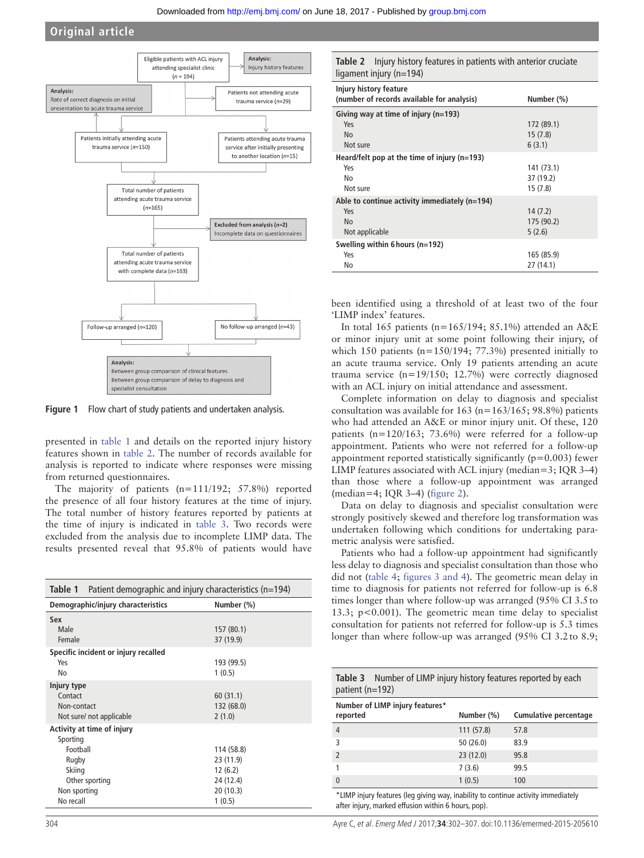**Original article**



<span id="page-2-0"></span>**Figure 1** Flow chart of study patients and undertaken analysis.

presented in [table](#page-2-1) 1 and details on the reported injury history features shown in [table](#page-2-2) 2. The number of records available for analysis is reported to indicate where responses were missing from returned questionnaires.

The majority of patients (n=111/192; 57.8%) reported the presence of all four history features at the time of injury. The total number of history features reported by patients at the time of injury is indicated in [table](#page-2-3) 3. Two records were excluded from the analysis due to incomplete LIMP data. The results presented reveal that 95.8% of patients would have

<span id="page-2-1"></span>

| <b>Table 1</b> Patient demographic and injury characteristics $(n=194)$                                              |                                                                       |
|----------------------------------------------------------------------------------------------------------------------|-----------------------------------------------------------------------|
| Demographic/injury characteristics                                                                                   | Number (%)                                                            |
| Sex<br>Male                                                                                                          | 157 (80.1)                                                            |
| Female                                                                                                               | 37 (19.9)                                                             |
| Specific incident or injury recalled<br>Yes<br>N٥                                                                    | 193 (99.5)<br>1(0.5)                                                  |
| Injury type<br>Contact<br>Non-contact<br>Not sure/ not applicable                                                    | 60(31.1)<br>132 (68.0)<br>2(1.0)                                      |
| Activity at time of injury<br>Sporting<br>Football<br>Rugby<br>Skiing<br>Other sporting<br>Non sporting<br>No recall | 114 (58.8)<br>23 (11.9)<br>12(6.2)<br>24 (12.4)<br>20(10.3)<br>1(0.5) |

<span id="page-2-2"></span>**Table 2** Injury history features in patients with anterior cruciate ligament injury (n=194)

| Injury history feature<br>(number of records available for analysis) | Number (%) |  |
|----------------------------------------------------------------------|------------|--|
|                                                                      |            |  |
| Giving way at time of injury ( $n=193$ )                             |            |  |
| Yes                                                                  | 172 (89.1) |  |
| <b>No</b>                                                            | 15(7.8)    |  |
| Not sure                                                             | 6(3.1)     |  |
| Heard/felt pop at the time of injury ( $n=193$ )                     |            |  |
| Yes                                                                  | 141 (73.1) |  |
| No                                                                   | 37 (19.2)  |  |
| Not sure                                                             | 15 (7.8)   |  |
| Able to continue activity immediately (n=194)                        |            |  |
| Yes                                                                  | 14 (7.2)   |  |
| <b>No</b>                                                            | 175 (90.2) |  |
| Not applicable                                                       | 5(2.6)     |  |
| Swelling within 6 hours ( $n=192$ )                                  |            |  |
| Yes                                                                  | 165 (85.9) |  |
| No                                                                   | 27 (14.1)  |  |

been identified using a threshold of at least two of the four 'LIMP index' features.

In total 165 patients (n=165/194; 85.1%) attended an  $A&E$ or minor injury unit at some point following their injury, of which 150 patients (n=150/194; 77.3%) presented initially to an acute trauma service. Only 19 patients attending an acute trauma service (n=19/150; 12.7%) were correctly diagnosed with an ACL injury on initial attendance and assessment.

Complete information on delay to diagnosis and specialist consultation was available for  $163$  (n= $163/165$ ; 98.8%) patients who had attended an A&E or minor injury unit. Of these, 120 patients (n=120/163; 73.6%) were referred for a follow-up appointment. Patients who were not referred for a follow-up appointment reported statistically significantly  $(p=0.003)$  fewer LIMP features associated with ACL injury (median=3; IQR 3–4) than those where a follow-up appointment was arranged (median=4; IQR 3–4) [\(figure](#page-3-0) 2).

Data on delay to diagnosis and specialist consultation were strongly positively skewed and therefore log transformation was undertaken following which conditions for undertaking parametric analysis were satisfied.

Patients who had a follow-up appointment had significantly less delay to diagnosis and specialist consultation than those who did not ([table](#page-3-1) 4; figures [3 and 4\)](#page-3-2). The geometric mean delay in time to diagnosis for patients not referred for follow-up is 6.8 times longer than where follow-up was arranged (95% CI 3.5to 13.3; p<0.001). The geometric mean time delay to specialist consultation for patients not referred for follow-up is 5.3 times longer than where follow-up was arranged (95% CI 3.2to 8.9;

<span id="page-2-3"></span>

| <b>Table 3</b> Number of LIMP injury history features reported by each<br>patient (n=192) |            |                       |  |
|-------------------------------------------------------------------------------------------|------------|-----------------------|--|
| Number of LIMP injury features*<br>reported                                               | Number (%) | Cumulative percentage |  |
| $\overline{4}$                                                                            | 111 (57.8) | 57.8                  |  |
| 3                                                                                         | 50(26.0)   | 83.9                  |  |
| $\overline{\phantom{0}}$                                                                  | 23(12.0)   | 95.8                  |  |
|                                                                                           | 7(3.6)     | 99.5                  |  |
| $\Omega$                                                                                  | 1(0.5)     | 100                   |  |

\*LIMP injury features (leg giving way, inability to continue activity immediately after injury, marked effusion within 6 hours, pop).

304 Ayre C, et al. Emerg Med J 2017;**34**:302–307. doi:10.1136/emermed-2015-205610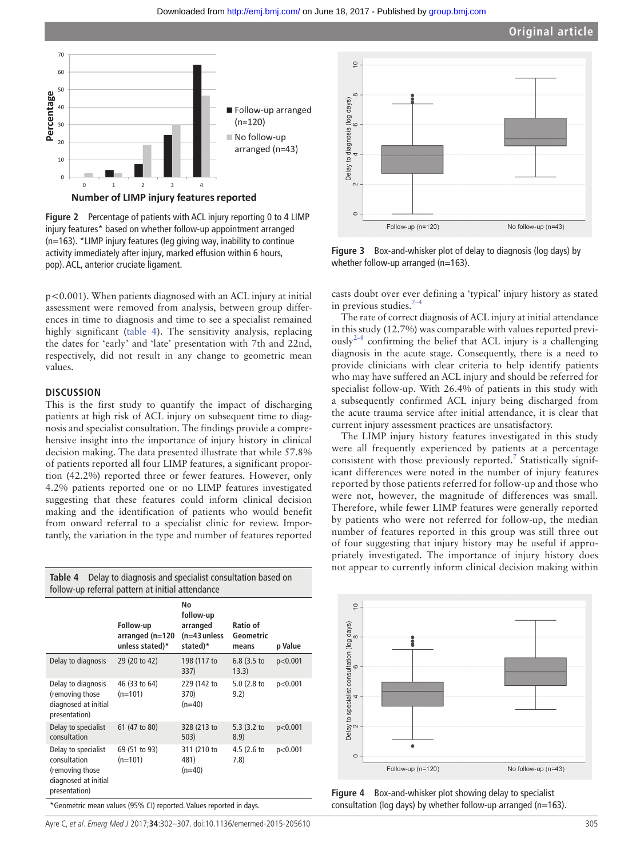Downloaded from<http://emj.bmj.com/>on June 18, 2017 - Published by [group.bmj.com](http://group.bmj.com)



<span id="page-3-0"></span>**Figure 2** Percentage of patients with ACL injury reporting 0 to 4 LIMP injury features\* based on whether follow-up appointment arranged (n=163). \*LIMP injury features (leg giving way, inability to continue activity immediately after injury, marked effusion within 6 hours, pop). ACL, anterior cruciate ligament.

p<0.001). When patients diagnosed with an ACL injury at initial assessment were removed from analysis, between group differences in time to diagnosis and time to see a specialist remained highly significant [\(table](#page-3-1) 4). The sensitivity analysis, replacing the dates for 'early' and 'late' presentation with 7th and 22nd, respectively, did not result in any change to geometric mean values.

#### **Discussion**

This is the first study to quantify the impact of discharging patients at high risk of ACL injury on subsequent time to diagnosis and specialist consultation. The findings provide a comprehensive insight into the importance of injury history in clinical decision making. The data presented illustrate that while 57.8% of patients reported all four LIMP features, a significant proportion (42.2%) reported three or fewer features. However, only 4.2% patients reported one or no LIMP features investigated suggesting that these features could inform clinical decision making and the identification of patients who would benefit from onward referral to a specialist clinic for review. Importantly, the variation in the type and number of features reported

<span id="page-3-1"></span>

| Delay to diagnosis and specialist consultation based on<br>Table 4<br>follow-up referral pattern at initial attendance |                                                 |                                                           |                                |         |
|------------------------------------------------------------------------------------------------------------------------|-------------------------------------------------|-----------------------------------------------------------|--------------------------------|---------|
|                                                                                                                        | Follow-up<br>arranged (n=120<br>unless stated)* | No<br>follow-up<br>arranged<br>$(n=43$ unless<br>stated)* | Ratio of<br>Geometric<br>means | p Value |
| Delay to diagnosis                                                                                                     | 29 (20 to 42)                                   | 198 (117 to<br>337)                                       | $6.8$ (3.5 to<br>13.3)         | p<0.001 |
| Delay to diagnosis<br>(removing those<br>diagnosed at initial<br>presentation)                                         | 46 (33 to 64)<br>$(n=101)$                      | 229 (142 to<br>370)<br>$(n=40)$                           | 5.0 (2.8 to<br>9.2)            | p<0.001 |
| Delay to specialist<br>consultation                                                                                    | 61 (47 to 80)                                   | 328 (213 to<br>503)                                       | 5.3 (3.2 to<br>8.9)            | p<0.001 |
| Delay to specialist<br>consultation<br>(removing those<br>diagnosed at initial<br>presentation)                        | 69 (51 to 93)<br>$(n=101)$                      | 311 (210 to<br>481)<br>$(n=40)$                           | 4.5 (2.6 to<br>7.8)            | p<0.001 |
| *Geometric mean values (95% CI) reported Values reported in days                                                       |                                                 |                                                           |                                |         |

\*Geometric mean values (95% CI) reported. Values reported in days.

Ayre C, et al. Emerg Med J 2017;**34**:302–307. doi:10.1136/emermed-2015-205610 305



<span id="page-3-2"></span>**Figure 3** Box-and-whisker plot of delay to diagnosis (log days) by whether follow-up arranged (n=163).

casts doubt over ever defining a 'typical' injury history as stated in previous studies. $2-4$ 

The rate of correct diagnosis of ACL injury at initial attendance in this study (12.7%) was comparable with values reported previously $2^{-8}$  confirming the belief that ACL injury is a challenging diagnosis in the acute stage. Consequently, there is a need to provide clinicians with clear criteria to help identify patients who may have suffered an ACL injury and should be referred for specialist follow-up. With 26.4% of patients in this study with a subsequently confirmed ACL injury being discharged from the acute trauma service after initial attendance, it is clear that current injury assessment practices are unsatisfactory.

The LIMP injury history features investigated in this study were all frequently experienced by patients at a percentage consistent with those previously reported.<sup>[7](#page-5-2)</sup> Statistically significant differences were noted in the number of injury features reported by those patients referred for follow-up and those who were not, however, the magnitude of differences was small. Therefore, while fewer LIMP features were generally reported by patients who were not referred for follow-up, the median number of features reported in this group was still three out of four suggesting that injury history may be useful if appropriately investigated. The importance of injury history does not appear to currently inform clinical decision making within



**Figure 4** Box-and-whisker plot showing delay to specialist consultation (log days) by whether follow-up arranged (n=163).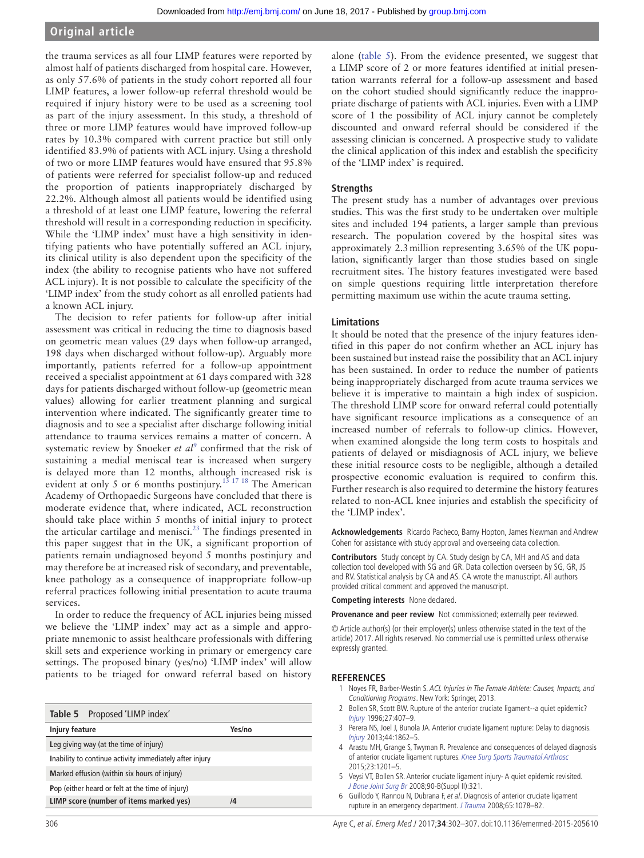# **Original article**

the trauma services as all four LIMP features were reported by almost half of patients discharged from hospital care. However, as only 57.6% of patients in the study cohort reported all four LIMP features, a lower follow-up referral threshold would be required if injury history were to be used as a screening tool as part of the injury assessment. In this study, a threshold of three or more LIMP features would have improved follow-up rates by 10.3% compared with current practice but still only identified 83.9% of patients with ACL injury. Using a threshold of two or more LIMP features would have ensured that 95.8% of patients were referred for specialist follow-up and reduced the proportion of patients inappropriately discharged by 22.2%. Although almost all patients would be identified using a threshold of at least one LIMP feature, lowering the referral threshold will result in a corresponding reduction in specificity. While the 'LIMP index' must have a high sensitivity in identifying patients who have potentially suffered an ACL injury, its clinical utility is also dependent upon the specificity of the index (the ability to recognise patients who have not suffered ACL injury). It is not possible to calculate the specificity of the 'LIMP index' from the study cohort as all enrolled patients had a known ACL injury.

The decision to refer patients for follow-up after initial assessment was critical in reducing the time to diagnosis based on geometric mean values (29 days when follow-up arranged, 198 days when discharged without follow-up). Arguably more importantly, patients referred for a follow-up appointment received a specialist appointment at 61 days compared with 328 days for patients discharged without follow-up (geometric mean values) allowing for earlier treatment planning and surgical intervention where indicated. The significantly greater time to diagnosis and to see a specialist after discharge following initial attendance to trauma services remains a matter of concern. A systematic review by Snoeker *et al*<sup>[9](#page-5-0)</sup> confirmed that the risk of sustaining a medial meniscal tear is increased when surgery is delayed more than 12 months, although increased risk is evident at only 5 or 6 months postinjury.<sup>13 17</sup> 18 The American Academy of Orthopaedic Surgeons have concluded that there is moderate evidence that, where indicated, ACL reconstruction should take place within 5 months of initial injury to protect the articular cartilage and menisci.<sup>23</sup> The findings presented in this paper suggest that in the UK, a significant proportion of patients remain undiagnosed beyond 5 months postinjury and may therefore be at increased risk of secondary, and preventable, knee pathology as a consequence of inappropriate follow-up referral practices following initial presentation to acute trauma services.

In order to reduce the frequency of ACL injuries being missed we believe the 'LIMP index' may act as a simple and appropriate mnemonic to assist healthcare professionals with differing skill sets and experience working in primary or emergency care settings. The proposed binary (yes/no) 'LIMP index' will allow patients to be triaged for onward referral based on history

| <b>Table 5</b> Proposed 'LIMP index'                    |        |  |
|---------------------------------------------------------|--------|--|
| <b>Injury feature</b>                                   | Yes/no |  |
| Leg giving way (at the time of injury)                  |        |  |
| Inability to continue activity immediately after injury |        |  |
| Marked effusion (within six hours of injury)            |        |  |
| Pop (either heard or felt at the time of injury)        |        |  |
| LIMP score (number of items marked yes)                 | /4     |  |

alone (table 5). From the evidence presented, we suggest that a LIMP score of 2 or more features identified at initial presentation warrants referral for a follow-up assessment and based on the cohort studied should significantly reduce the inappropriate discharge of patients with ACL injuries. Even with a LIMP score of 1 the possibility of ACL injury cannot be completely discounted and onward referral should be considered if the assessing clinician is concerned. A prospective study to validate the clinical application of this index and establish the specificity of the 'LIMP index' is required.

# **Strengths**

The present study has a number of advantages over previous studies. This was the first study to be undertaken over multiple sites and included 194 patients, a larger sample than previous research. The population covered by the hospital sites was approximately 2.3million representing 3.65% of the UK population, significantly larger than those studies based on single recruitment sites. The history features investigated were based on simple questions requiring little interpretation therefore permitting maximum use within the acute trauma setting.

## **Limitations**

It should be noted that the presence of the injury features identified in this paper do not confirm whether an ACL injury has been sustained but instead raise the possibility that an ACL injury has been sustained. In order to reduce the number of patients being inappropriately discharged from acute trauma services we believe it is imperative to maintain a high index of suspicion. The threshold LIMP score for onward referral could potentially have significant resource implications as a consequence of an increased number of referrals to follow-up clinics. However, when examined alongside the long term costs to hospitals and patients of delayed or misdiagnosis of ACL injury, we believe these initial resource costs to be negligible, although a detailed prospective economic evaluation is required to confirm this. Further research is also required to determine the history features related to non-ACL knee injuries and establish the specificity of the 'LIMP index'.

**Acknowledgements** Ricardo Pacheco, Barny Hopton, James Newman and Andrew Cohen for assistance with study approval and overseeing data collection.

**Contributors** Study concept by CA. Study design by CA, MH and AS and data collection tool developed with SG and GR. Data collection overseen by SG, GR, JS and RV. Statistical analysis by CA and AS. CA wrote the manuscript. All authors provided critical comment and approved the manuscript.

**Competing interests** None declared.

**Provenance and peer review** Not commissioned; externally peer reviewed.

© Article author(s) (or their employer(s) unless otherwise stated in the text of the article) 2017. All rights reserved. No commercial use is permitted unless otherwise expressly granted.

## **References**

- <span id="page-4-0"></span>1 Noyes FR, Barber-Westin S. ACL Injuries in The Female Athlete: Causes, Impacts, and Conditioning Programs. New York: Springer, 2013.
- <span id="page-4-1"></span>2 Bollen SR, Scott BW. Rupture of the anterior cruciate ligament--a quiet epidemic? [Injury](http://dx.doi.org/10.1016/0020-1383(96)00033-2) 1996;27:407–9.
- 3 Perera NS, Joel J, Bunola JA. Anterior cruciate ligament rupture: Delay to diagnosis. [Injury](http://dx.doi.org/10.1016/j.injury.2013.07.024) 2013;44:1862–5.
- 4 Arastu MH, Grange S, Twyman R. Prevalence and consequences of delayed diagnosis of anterior cruciate ligament ruptures. [Knee Surg Sports Traumatol Arthrosc](http://dx.doi.org/10.1007/s00167-014-2947-z) 2015;23:1201–5.
- 5 Veysi VT, Bollen SR. Anterior cruciate ligament injury- A quiet epidemic revisited. J Bone Joint Surg Br 2008;90-B(Suppl II):321.
- 6 Guillodo Y, Rannou N, Dubrana F, et al. Diagnosis of anterior cruciate ligament rupture in an emergency department. [J Trauma](http://dx.doi.org/10.1097/TA.0b013e3181469b7d) 2008;65:1078-82.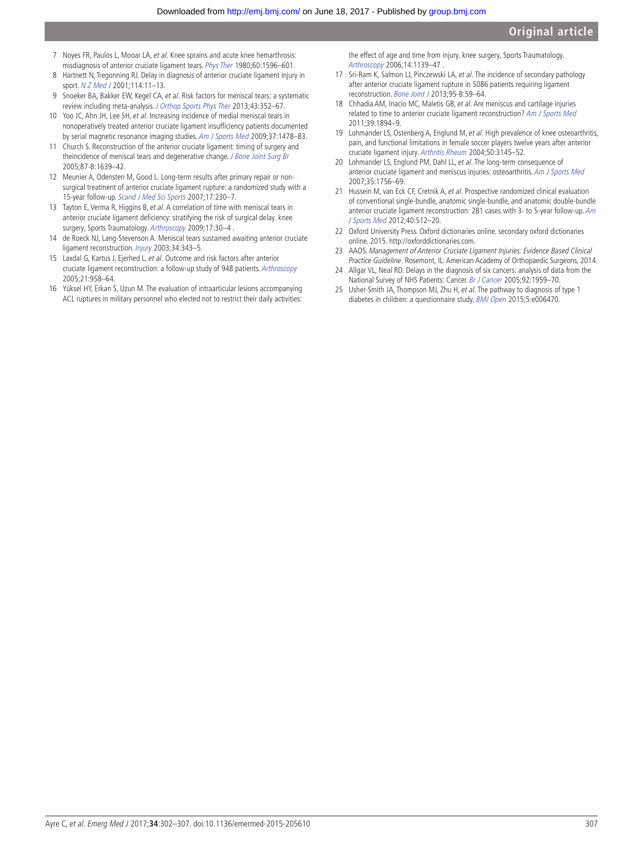- <span id="page-5-2"></span>7 Noyes FR, Paulos L, Mooar LA, et al. Knee sprains and acute knee hemarthrosis: misdiagnosis of anterior cruciate ligament tears. Phys Ther 1980;60:1596–601.
- 8 Hartnett N, Tregonning RJ. Delay in diagnosis of anterior cruciate ligament injury in sport. N Z Med J 2001;114:11-13.
- <span id="page-5-0"></span>9 Snoeker BA, Bakker EW, Kegel CA, et al. Risk factors for meniscal tears: a systematic review including meta-analysis. [J Orthop Sports Phys Ther](http://dx.doi.org/10.2519/jospt.2013.4295) 2013;43:352–67.
- 10 Yoo JC, Ahn JH, Lee SH, et al. Increasing incidence of medial meniscal tears in nonoperatively treated anterior cruciate ligament insufficiency patients documented by serial magnetic resonance imaging studies. [Am J Sports Med](http://dx.doi.org/10.1177/0363546509332432) 2009;37:1478–83.
- 11 Church S. Reconstruction of the anterior cruciate ligament: timing of surgery and theincidence of meniscal tears and degenerative change. [J Bone Joint Surg Br](http://dx.doi.org/10.1302/0301-620X.87B12.16916) 2005;87-B:1639–42.
- 12 Meunier A, Odensten M, Good L. Long-term results after primary repair or nonsurgical treatment of anterior cruciate ligament rupture: a randomized study with a 15-year follow-up. [Scand J Med Sci Sports](http://dx.doi.org/10.1111/j.1600-0838.2006.00547.x) 2007;17:230–7.
- <span id="page-5-6"></span>13 Tayton E, Verma R, Higgins B, et al. A correlation of time with meniscal tears in anterior cruciate ligament deficiency: stratifying the risk of surgical delay. knee surgery, Sports Traumatology. [Arthroscopy](http://dx.doi.org/10.1007/s00167-008-0622-y) 2009;17:30–4 .
- 14 de Roeck NJ, Lang-Stevenson A. Meniscal tears sustained awaiting anterior cruciate ligament reconstruction. [Injury](http://dx.doi.org/10.1016/S0020-1383(02)00124-9) 2003;34:343–5.
- 15 Laxdal G, Kartus J, Ejerhed L, et al. Outcome and risk factors after anterior cruciate ligament reconstruction: a follow-up study of 948 patients. [Arthroscopy](http://dx.doi.org/10.1016/j.arthro.2005.05.007) 2005;21:958–64.
- 16 Yüksel HY, Erkan S, Uzun M. The evaluation of intraarticular lesions accompanying ACL ruptures in military personnel who elected not to restrict their daily activities:

the effect of age and time from injury. knee surgery, Sports Traumatology. [Arthroscopy](http://dx.doi.org/%2010.1007/s00167-006-0170-2) 2006;14:1139–47 .

- Sri-Ram K, Salmon LJ, Pinczewski LA, et al. The incidence of secondary pathology after anterior cruciate ligament rupture in 5086 patients requiring ligament reconstruction. [Bone Joint J](http://dx.doi.org/10.1302/0301-620X.95B1.29636) 2013;95-B:59–64.
- 18 Chhadia AM, Inacio MC, Maletis GB, et al. Are meniscus and cartilage injuries related to time to anterior cruciate ligament reconstruction? [Am J Sports Med](http://dx.doi.org/10.1177/0363546511410380) 2011;39:1894–9.
- <span id="page-5-1"></span>19 Lohmander LS, Ostenberg A, Englund M, et al. High prevalence of knee osteoarthritis, pain, and functional limitations in female soccer players twelve years after anterior cruciate ligament injury. [Arthritis Rheum](http://dx.doi.org/10.1002/art.20589) 2004;50:3145–52.
- 20 Lohmander LS, Englund PM, Dahl LL, et al. The long-term consequence of anterior cruciate ligament and meniscus injuries: osteoarthritis. [Am J Sports Med](http://dx.doi.org/10.1177/0363546507307396) 2007;35:1756–69.
- 21 Hussein M, van Eck CF, Cretnik A, et al. Prospective randomized clinical evaluation of conventional single-bundle, anatomic single-bundle, and anatomic double-bundle anterior cruciate ligament reconstruction: 281 cases with 3- to 5-year follow-up. Am [J Sports Med](http://dx.doi.org/10.1177/0363546511426416) 2012;40:512–20.
- <span id="page-5-3"></span>22 Oxford University Press. Oxford dictionaries online. secondary oxford dictionaries online. 2015. [http://oxforddictionaries.com.](http://oxforddictionaries.com)
- <span id="page-5-4"></span>23 AAOS. Management of Anterior Cruciate Ligament Injuries: Evidence Based Clinical Practice Guideline. Rosemont, IL: American Academy of Orthopaedic Surgeons, 2014.
- <span id="page-5-5"></span>24 Allgar VL, Neal RD. Delays in the diagnosis of six cancers: analysis of data from the National Survey of NHS Patients: Cancer. [Br J Cancer](http://dx.doi.org/10.1038/sj.bjc.6602587) 2005;92:1959–70.
- 25 Usher-Smith JA, Thompson MJ, Zhu H, et al. The pathway to diagnosis of type 1 diabetes in children: a questionnaire study. [BMJ Open](http://dx.doi.org/10.1136/bmjopen-2014-006470) 2015;5:e006470.